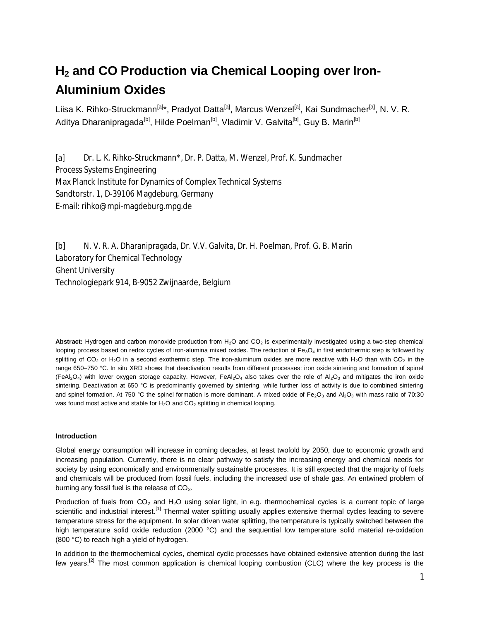# **H2 and CO Production via Chemical Looping over Iron-Aluminium Oxides**

Liisa K. Rihko-Struckmann<sup>[a]\*</sup>, Pradyot Datta<sup>[a]</sup>, Marcus Wenzel<sup>[a]</sup>, Kai Sundmacher<sup>[a]</sup>, N. V. R. Aditya Dharanipragada<sup>[b]</sup>, Hilde Poelman<sup>[b]</sup>, Vladimir V. Galvita<sup>[b]</sup>, Guy B. Marin<sup>[b]</sup>

[a] Dr. L. K. Rihko-Struckmann\*, Dr. P. Datta, M. Wenzel, Prof. K. Sundmacher Process Systems Engineering Max Planck Institute for Dynamics of Complex Technical Systems Sandtorstr. 1, D-39106 Magdeburg, Germany E-mail: rihko@mpi-magdeburg.mpg.de

[b] N. V. R. A. Dharanipragada, Dr. V.V. Galvita, Dr. H. Poelman, Prof. G. B. Marin Laboratory for Chemical Technology Ghent University Technologiepark 914, B-9052 Zwijnaarde, Belgium

Abstract: Hydrogen and carbon monoxide production from  $H_2O$  and  $CO_2$  is experimentally investigated using a two-step chemical looping process based on redox cycles of iron-alumina mixed oxides. The reduction of  $Fe_3O_4$  in first endothermic step is followed by splitting of CO<sub>2</sub> or H<sub>2</sub>O in a second exothermic step. The iron-aluminum oxides are more reactive with H<sub>2</sub>O than with CO<sub>2</sub> in the range 650–750 °C. In situ XRD shows that deactivation results from different processes: iron oxide sintering and formation of spinel (FeAl<sub>2</sub>O<sub>4</sub>) with lower oxygen storage capacity. However, FeAl<sub>2</sub>O<sub>4</sub> also takes over the role of Al<sub>2</sub>O<sub>3</sub> and mitigates the iron oxide sintering. Deactivation at 650 °C is predominantly governed by sintering, while further loss of activity is due to combined sintering and spinel formation. At 750 °C the spinel formation is more dominant. A mixed oxide of  $Fe<sub>2</sub>O<sub>3</sub>$  and Al<sub>2</sub>O<sub>3</sub> with mass ratio of 70:30 was found most active and stable for  $H_2O$  and  $CO_2$  splitting in chemical looping.

## **Introduction**

Global energy consumption will increase in coming decades, at least twofold by 2050, due to economic growth and increasing population. Currently, there is no clear pathway to satisfy the increasing energy and chemical needs for society by using economically and environmentally sustainable processes. It is still expected that the majority of fuels and chemicals will be produced from fossil fuels, including the increased use of shale gas. An entwined problem of burning any fossil fuel is the release of  $CO<sub>2</sub>$ .

Production of fuels from  $CO_2$  and  $H_2O$  using solar light, in e.g. thermochemical cycles is a current topic of large scientific and industrial interest.<sup>[[1\]](#page-7-0)</sup> Thermal water splitting usually applies extensive thermal cycles leading to severe temperature stress for the equipment. In solar driven water splitting, the temperature is typically switched between the high temperature solid oxide reduction (2000 °C) and the sequential low temperature solid material re-oxidation (800 °C) to reach high a yield of hydrogen.

In addition to the thermochemical cycles, chemical cyclic processes have obtained extensive attention during the last few vears.<sup>[[2](#page-7-1)]</sup> The most common application is chemical looping combustion (CLC) where the key process is the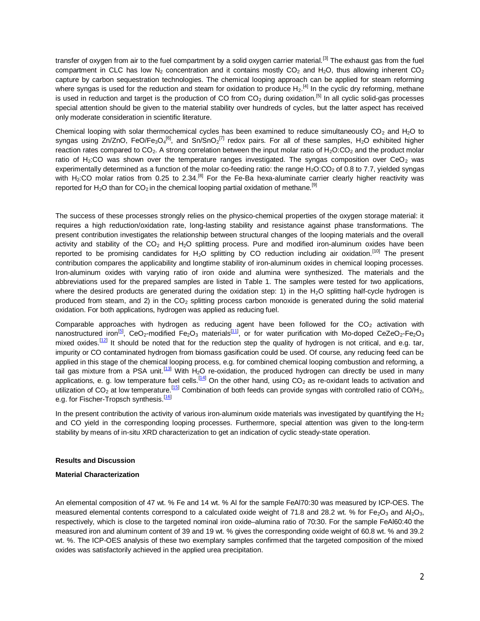transfer of oxygen from air to the fuel compartment by a solid oxygen carrier material.<sup>[\[3](#page-7-2)]</sup> The exhaust gas from the fuel compartment in CLC has low N<sub>2</sub> concentration and it contains mostly CO<sub>2</sub> and H<sub>2</sub>O, thus allowing inherent CO<sub>2</sub> capture by carbon sequestration technologies. The chemical looping approach can be applied for steam reforming where syngas is used for the reduction and steam for oxidation to produce  $H_2$ .<sup>[\[4](#page-7-3)]</sup> In the cyclic dry reforming, methane is used in reduction and target is the production of CO from  $CO_2$  during oxidation.<sup>[[5\]](#page-7-4)</sup> In all cyclic solid-gas processes special attention should be given to the material stability over hundreds of cycles, but the latter aspect has received only moderate consideration in scientific literature.

Chemical looping with solar thermochemical cycles has been examined to reduce simultaneously  $CO<sub>2</sub>$  and H<sub>2</sub>O to syngas using Zn/ZnO, FeO/Fe<sub>3</sub>O<sub>4</sub><sup>[\[6](#page-7-5)]</sup>, and Sn/SnO<sub>2</sub><sup>[\[7](#page-7-6)]</sup> redox pairs. For all of these samples, H<sub>2</sub>O exhibited higher reaction rates compared to  $CO<sub>2</sub>$ . A strong correlation between the input molar ratio of H<sub>2</sub>O:CO<sub>2</sub> and the product molar ratio of H<sub>2</sub>:CO was shown over the temperature ranges investigated. The syngas composition over CeO<sub>2</sub> was experimentally determined as a function of the molar co-feeding ratio: the range  $H_2O:CO_2$  of 0.8 to 7.7, yielded syngas with H<sub>2</sub>:CO molar ratios from 0.25 to 2.34.<sup>[[8\]](#page-7-7)</sup> For the Fe-Ba hexa-aluminate car[ri](#page-7-8)er clearly higher reactivity was reported for H<sub>2</sub>O than for CO<sub>2</sub> in the chemical looping partial oxidation of methane.<sup>[9]</sup>

The success of these processes strongly relies on the physico-chemical properties of the oxygen storage material: it requires a high reduction/oxidation rate, long-lasting stability and resistance against phase transformations. The present contribution investigates the relationship between structural changes of the looping materials and the overall activity and stability of the  $CO<sub>2</sub>$  and  $H<sub>2</sub>O$  splitting process. Pure and modified iron-aluminum oxides have been reported to be promising candidates for  $H_2O$  splitting by CO reduction including air oxidation.<sup>[[10\]](#page-7-9)</sup> The present contribution compares the applicability and longtime stability of iron-aluminum oxides in chemical looping processes. Iron-aluminum oxides with varying ratio of iron oxide and alumina were synthesized. The materials and the abbreviations used for the prepared samples are listed in Table 1. The samples were tested for two applications, where the desired products are generated during the oxidation step: 1) in the  $H_2O$  splitting half-cycle hydrogen is produced from steam, and 2) in the  $CO<sub>2</sub>$  splitting process carbon monoxide is generated during the solid material oxidation. For both applications, hydrogen was applied as reducing fuel.

Comparable approaches with hydrogen as reducing agent have been followed for the  $CO<sub>2</sub>$  activation with nanostructured iron<sup>[[5\]](#page-7-4)</sup>, CeO<sub>2</sub>-modified Fe<sub>2</sub>O<sub>3</sub> materials<sup>[[11\]](#page-7-10)</sup>, or for water purification with Mo-doped CeZeO<sub>2</sub>-Fe<sub>2</sub>O<sub>3</sub> mixed oxides.<sup>[[12\]](#page-7-11)</sup> It should be noted that for the reduction step the quality of hydrogen is not critical, and e.g. tar, impurity or CO contaminated hydrogen from biomass gasification could be used. Of course, any reducing feed can be applied in this stage of the chemical looping process, e.g. for combined chemical looping combustion and reforming, a tail gas mixture from a PSA unit.<sup>[[13\]](#page-7-12)</sup> With H<sub>2</sub>O re-oxidation, the produced hydrogen can directly be used in many applications, e. g. low temperature fuel cells.<sup>[[14\]](#page-7-13)</sup> On the other hand, using CO<sub>2</sub> as re-oxidant leads to activation and utilization of CO<sub>2</sub> at low temperature.<sup>[\[15](#page-7-14)]</sup> Combination of both feeds can provide syngas with controlled ratio of CO/H<sub>2</sub>, e.g. for Fischer-Tropsch synthesis.<sup>[[16\]](#page-7-15)</sup>

In the present contribution the activity of various iron-aluminum oxide materials was investigated by quantifying the  $H_2$ and CO yield in the corresponding looping processes. Furthermore, special attention was given to the long-term stability by means of in-situ XRD characterization to get an indication of cyclic steady-state operation.

#### **Results and Discussion**

## **Material Characterization**

An elemental composition of 47 wt. % Fe and 14 wt. % Al for the sample FeAl70:30 was measured by ICP-OES. The measured elemental contents correspond to a calculated oxide weight of 71.8 and 28.2 wt. % for Fe<sub>2</sub>O<sub>3</sub> and Al<sub>2</sub>O<sub>3</sub>, respectively, which is close to the targeted nominal iron oxide–alumina ratio of 70:30. For the sample FeAl60:40 the measured iron and aluminum content of 39 and 19 wt. % gives the corresponding oxide weight of 60.8 wt. % and 39.2 wt. %. The ICP-OES analysis of these two exemplary samples confirmed that the targeted composition of the mixed oxides was satisfactorily achieved in the applied urea precipitation.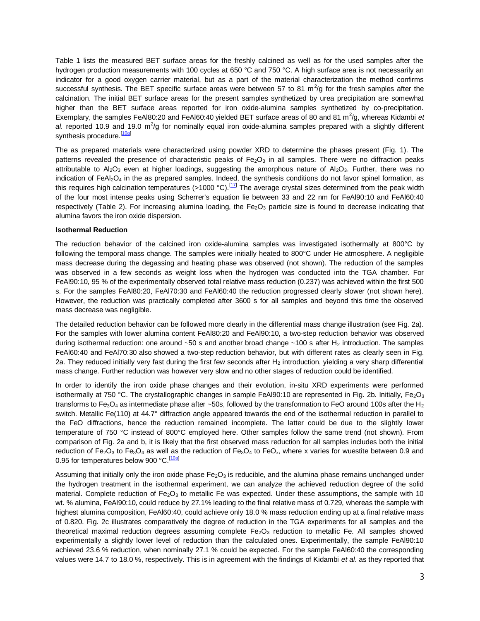Table 1 lists the measured BET surface areas for the freshly calcined as well as for the used samples after the hydrogen production measurements with 100 cycles at 650 °C and 750 °C. A high surface area is not necessarily an indicator for a good oxygen carrier material, but as a part of the material characterization the method confirms successful synthesis. The BET specific surface areas were between 57 to 81 m<sup>2</sup>/g for the fresh samples after the calcination. The initial BET surface areas for the present samples synthetized by urea precipitation are somewhat higher than the BET surface areas reported for iron oxide-alumina samples synthetized by co-precipitation. Exemplary, the samples FeAl80:20 and FeAl60:40 yielded BET surface areas of 80 and 81 m<sup>2</sup>/g, whereas Kidambi et al. reported 10.9 and 19.0 m<sup>2</sup>/g for nominally equal iron oxide-alumina samples prepared with a slightly different synthesis procedure.<sup>[[10a\]](#page-7-9)</sup>

The as prepared materials were characterized using powder XRD to determine the phases present (Fig. 1). The patterns revealed the presence of characteristic peaks of  $Fe<sub>2</sub>O<sub>3</sub>$  in all samples. There were no diffraction peaks attributable to  $A_2O_3$  even at higher loadings, suggesting the amorphous nature of  $A_2O_3$ . Further, there was no indication of  $FeAl<sub>2</sub>O<sub>4</sub>$  in the as prepared samples. Indeed, the synthesis conditions do not favor spinel formation, as this requires high calcination temperatures (>1000 °C).<sup>[[17\]](#page-7-16)</sup> The average crystal sizes determined from the peak width of the four most intense peaks using Scherrer's equation lie between 33 and 22 nm for FeAl90:10 and FeAl60:40 respectively (Table 2). For increasing alumina loading, the  $Fe<sub>2</sub>O<sub>3</sub>$  particle size is found to decrease indicating that alumina favors the iron oxide dispersion.

#### **Isothermal Reduction**

The reduction behavior of the calcined iron oxide-alumina samples was investigated isothermally at 800°C by following the temporal mass change. The samples were initially heated to 800°C under He atmosphere. A negligible mass decrease during the degassing and heating phase was observed (not shown). The reduction of the samples was observed in a few seconds as weight loss when the hydrogen was conducted into the TGA chamber. For FeAl90:10, 95 % of the experimentally observed total relative mass reduction (0.237) was achieved within the first 500 s. For the samples FeAl80:20, FeAl70:30 and FeAl60:40 the reduction progressed clearly slower (not shown here). However, the reduction was practically completed after 3600 s for all samples and beyond this time the observed mass decrease was negligible.

The detailed reduction behavior can be followed more clearly in the differential mass change illustration (see Fig. 2a). For the samples with lower alumina content FeAl80:20 and FeAl90:10, a two-step reduction behavior was observed during isothermal reduction: one around  $\sim$ 50 s and another broad change  $\sim$ 100 s after H<sub>2</sub> introduction. The samples FeAl60:40 and FeAl70:30 also showed a two-step reduction behavior, but with different rates as clearly seen in Fig. 2a. They reduced initially very fast during the first few seconds after  $H_2$  introduction, yielding a very sharp differential mass change. Further reduction was however very slow and no other stages of reduction could be identified.

In order to identify the iron oxide phase changes and their evolution, in-situ XRD experiments were performed isothermally at 750 °C. The crystallographic changes in sample FeAl90:10 are represented in Fig. 2b. Initially, Fe<sub>2</sub>O<sub>3</sub> transforms to Fe<sub>3</sub>O<sub>4</sub> as intermediate phase after ~50s, followed by the transformation to FeO around 100s after the H<sub>2</sub> switch. Metallic Fe(110) at 44.7° diffraction angle appeared towards the end of the isothermal reduction in parallel to the FeO diffractions, hence the reduction remained incomplete. The latter could be due to the slightly lower temperature of 750 °C instead of 800°C employed here. Other samples follow the same trend (not shown). From comparison of Fig. 2a and b, it is likely that the first observed mass reduction for all samples includes both the initial reduction of Fe<sub>2</sub>O<sub>3</sub> to Fe<sub>3</sub>O<sub>4</sub> as well as the reduction of Fe<sub>3</sub>O<sub>4</sub> to FeO<sub>x</sub>, where x varies for wuestite between 0.9 and 0.95 for temperatures below 900 °C.<sup>[[10a\]](#page-7-9)</sup>

Assuming that initially only the iron oxide phase  $Fe<sub>2</sub>O<sub>3</sub>$  is reducible, and the alumina phase remains unchanged under the hydrogen treatment in the isothermal experiment, we can analyze the achieved reduction degree of the solid material. Complete reduction of  $Fe<sub>2</sub>O<sub>3</sub>$  to metallic Fe was expected. Under these assumptions, the sample with 10 wt. % alumina, FeAl90:10, could reduce by 27.1% leading to the final relative mass of 0.729, whereas the sample with highest alumina composition, FeAl60:40, could achieve only 18.0 % mass reduction ending up at a final relative mass of 0.820. Fig. 2c illustrates comparatively the degree of reduction in the TGA experiments for all samples and the theoretical maximal reduction degrees assuming complete  $Fe<sub>2</sub>O<sub>3</sub>$  reduction to metallic Fe. All samples showed experimentally a slightly lower level of reduction than the calculated ones. Experimentally, the sample FeAl90:10 achieved 23.6 % reduction, when nominally 27.1 % could be expected. For the sample FeAl60:40 the corresponding values were 14.7 to 18.0 %, respectively. This is in agreement with the findings of Kidambi *et al.* as they reported that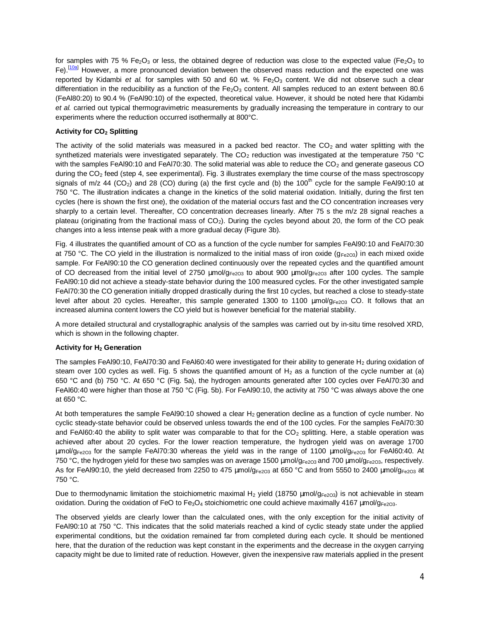for samples with 75 % Fe<sub>2</sub>O<sub>3</sub> or less, the obtained degree of reduction was close to the expected value (Fe<sub>2</sub>O<sub>3</sub> to Fe).<sup>[\[10a](#page-7-9)]</sup> However, a more pronounced deviation between the observed mass reduction and the expected one was reported by Kidambi *et al.* for samples with 50 and 60 wt. % Fe<sub>2</sub>O<sub>3</sub> content. We did not observe such a clear differentiation in the reducibility as a function of the  $Fe<sub>2</sub>O<sub>3</sub>$  content. All samples reduced to an extent between 80.6 (FeAl80:20) to 90.4 % (FeAl90:10) of the expected, theoretical value. However, it should be noted here that Kidambi *et al.* carried out typical thermogravimetric measurements by gradually increasing the temperature in contrary to our experiments where the reduction occurred isothermally at 800°C.

## **Activity for CO2 Splitting**

The activity of the solid materials was measured in a packed bed reactor. The  $CO<sub>2</sub>$  and water splitting with the synthetized materials were investigated separately. The  $CO<sub>2</sub>$  reduction was investigated at the temperature 750 °C with the samples FeAl90:10 and FeAl70:30. The solid material was able to reduce the CO<sub>2</sub> and generate gaseous CO during the  $CO<sub>2</sub>$  feed (step 4, see experimental). Fig. 3 illustrates exemplary the time course of the mass spectroscopy signals of m/z 44 (CO<sub>2</sub>) and 28 (CO) during (a) the first cycle and (b) the 100<sup>th</sup> cycle for the sample FeAl90:10 at 750 °C. The illustration indicates a change in the kinetics of the solid material oxidation. Initially, during the first ten cycles (here is shown the first one), the oxidation of the material occurs fast and the CO concentration increases very sharply to a certain level. Thereafter, CO concentration decreases linearly. After 75 s the m/z 28 signal reaches a plateau (originating from the fractional mass of  $CO<sub>2</sub>$ ). During the cycles beyond about 20, the form of the CO peak changes into a less intense peak with a more gradual decay (Figure 3b).

Fig. 4 illustrates the quantified amount of CO as a function of the cycle number for samples FeAl90:10 and FeAl70:30 at 750 °C. The CO yield in the illustration is normalized to the initial mass of iron oxide ( $g_{Fe2O3}$ ) in each mixed oxide sample. For FeAl90:10 the CO generation declined continuously over the repeated cycles and the quantified amount of CO decreased from the initial level of 2750  $mmol/g_{Fe2O3}$  to about 900  $mmol/g_{Fe2O3}$  after 100 cycles. The sample FeAl90:10 did not achieve a steady-state behavior during the 100 measured cycles. For the other investigated sample FeAl70:30 the CO generation initially dropped drastically during the first 10 cycles, but reached a close to steady-state level after about 20 cycles. Hereafter, this sample generated 1300 to 1100 mmol/ $g_{Fe2O3}$  CO. It follows that an increased alumina content lowers the CO yield but is however beneficial for the material stability.

A more detailed structural and crystallographic analysis of the samples was carried out by in-situ time resolved XRD, which is shown in the following chapter.

## **Activity for H2 Generation**

The samples FeAl90:10, FeAl70:30 and FeAl60:40 were investigated for their ability to generate H<sub>2</sub> during oxidation of steam over 100 cycles as well. Fig. 5 shows the quantified amount of  $H_2$  as a function of the cycle number at (a) 650 °C and (b) 750 °C. At 650 °C (Fig. 5a), the hydrogen amounts generated after 100 cycles over FeAl70:30 and FeAl60:40 were higher than those at 750 °C (Fig. 5b). For FeAl90:10, the activity at 750 °C was always above the one at 650 °C.

At both temperatures the sample FeAl90:10 showed a clear  $H_2$  generation decline as a function of cycle number. No cyclic steady-state behavior could be observed unless towards the end of the 100 cycles. For the samples FeAl70:30 and FeAl60:40 the ability to split water was comparable to that for the  $CO<sub>2</sub>$  splitting. Here, a stable operation was achieved after about 20 cycles. For the lower reaction temperature, the hydrogen yield was on average 1700  $\text{mmol/g}_{\text{Fe2O3}}$  for the sample FeAl70:30 whereas the yield was in the range of 1100  $\text{mmol/g}_{\text{Fe2O3}}$  for FeAl60:40. At 750 °C, the hydrogen yield for these two samples was on average 1500  $mmol/g_{Fe2O3}$  and 700  $mmol/g_{Fe2O3}$ , respectively. As for FeAl90:10, the yield decreased from 2250 to 475  $mmol/g_{Fe2O3}$  at 650 °C and from 5550 to 2400  $mmol/g_{Fe2O3}$  at 750 °C.

Due to thermodynamic limitation the stoichiometric maximal H<sub>2</sub> yield (18750 mmol/g<sub>Fe2O3</sub>) is not achievable in steam oxidation. During the oxidation of FeO to Fe<sub>3</sub>O<sub>4</sub> stoichiometric one could achieve maximally 4167 mmol/g<sub>Fe2O3</sub>.

The observed yields are clearly lower than the calculated ones, with the only exception for the initial activity of FeAl90:10 at 750 °C. This indicates that the solid materials reached a kind of cyclic steady state under the applied experimental conditions, but the oxidation remained far from completed during each cycle. It should be mentioned here, that the duration of the reduction was kept constant in the experiments and the decrease in the oxygen carrying capacity might be due to limited rate of reduction. However, given the inexpensive raw materials applied in the present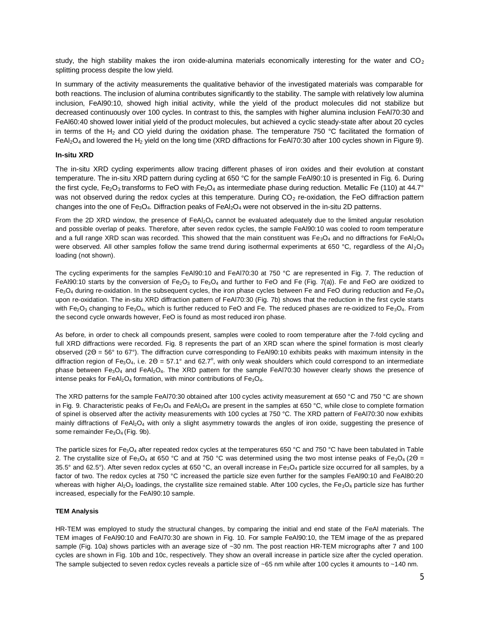study, the high stability makes the iron oxide-alumina materials economically interesting for the water and  $CO<sub>2</sub>$ splitting process despite the low yield.

In summary of the activity measurements the qualitative behavior of the investigated materials was comparable for both reactions. The inclusion of alumina contributes significantly to the stability. The sample with relatively low alumina inclusion, FeAl90:10, showed high initial activity, while the yield of the product molecules did not stabilize but decreased continuously over 100 cycles. In contrast to this, the samples with higher alumina inclusion FeAl70:30 and FeAl60:40 showed lower initial yield of the product molecules, but achieved a cyclic steady-state after about 20 cycles in terms of the H<sub>2</sub> and CO yield during the oxidation phase. The temperature 750  $\degree$ C facilitated the formation of FeAl<sub>2</sub>O<sub>4</sub> and lowered the H<sub>2</sub> yield on the long time (XRD diffractions for FeAl70:30 after 100 cycles shown in Figure 9).

## **In-situ XRD**

The in-situ XRD cycling experiments allow tracing different phases of iron oxides and their evolution at constant temperature. The in-situ XRD pattern during cycling at 650 °C for the sample FeAl90:10 is presented in Fig. 6. During the first cycle, Fe<sub>2</sub>O<sub>3</sub> transforms to FeO with Fe<sub>3</sub>O<sub>4</sub> as intermediate phase during reduction. Metallic Fe (110) at 44.7° was not observed during the redox cycles at this temperature. During  $CO<sub>2</sub>$  re-oxidation, the FeO diffraction pattern changes into the one of  $Fe<sub>3</sub>O<sub>4</sub>$ . Diffraction peaks of FeAl<sub>2</sub>O<sub>4</sub> were not observed in the in-situ 2D patterns.

From the 2D XRD window, the presence of  $FeAl<sub>2</sub>O<sub>4</sub>$  cannot be evaluated adequately due to the limited angular resolution and possible overlap of peaks. Therefore, after seven redox cycles, the sample FeAl90:10 was cooled to room temperature and a full range XRD scan was recorded. This showed that the main constituent was Fe<sub>3</sub>O<sub>4</sub> and no diffractions for FeAl<sub>2</sub>O<sub>4</sub> were observed. All other samples follow the same trend during isothermal experiments at 650 °C, regardless of the Al<sub>2</sub>O<sub>3</sub> loading (not shown).

The cycling experiments for the samples FeAl90:10 and FeAl70:30 at 750 °C are represented in Fig. 7. The reduction of FeAl90:10 starts by the conversion of Fe<sub>2</sub>O<sub>3</sub> to Fe<sub>3</sub>O<sub>4</sub> and further to FeO and Fe (Fig. 7(a)). Fe and FeO are oxidized to Fe<sub>3</sub>O<sub>4</sub> during re-oxidation. In the subsequent cycles, the iron phase cycles between Fe and FeO during reduction and Fe<sub>3</sub>O<sub>4</sub> upon re-oxidation. The in-situ XRD diffraction pattern of FeAl70:30 (Fig. 7b) shows that the reduction in the first cycle starts with Fe<sub>2</sub>O<sub>3</sub> changing to Fe<sub>3</sub>O<sub>4</sub>, which is further reduced to FeO and Fe. The reduced phases are re-oxidized to Fe<sub>3</sub>O<sub>4</sub>. From the second cycle onwards however, FeO is found as most reduced iron phase.

As before, in order to check all compounds present, samples were cooled to room temperature after the 7-fold cycling and full XRD diffractions were recorded. Fig. 8 represents the part of an XRD scan where the spinel formation is most clearly observed ( $2Q = 56^{\circ}$  to  $67^{\circ}$ ). The diffraction curve corresponding to FeAl90:10 exhibits peaks with maximum intensity in the diffraction region of  $Fe<sub>3</sub>O<sub>4</sub>$ , i.e.  $2Q = 57.1^{\circ}$  and 62.7°, with only weak shoulders which could correspond to an intermediate phase between Fe<sub>3</sub>O<sub>4</sub> and FeAl<sub>2</sub>O<sub>4</sub>. The XRD pattern for the sample FeAl70:30 however clearly shows the presence of intense peaks for  $FeAl<sub>2</sub>O<sub>4</sub>$  formation, with minor contributions of  $Fe<sub>3</sub>O<sub>4</sub>$ .

The XRD patterns for the sample FeAl70:30 obtained after 100 cycles activity measurement at 650 °C and 750 °C are shown in Fig. 9. Characteristic peaks of Fe<sub>3</sub>O<sub>4</sub> and FeAl<sub>2</sub>O<sub>4</sub> are present in the samples at 650 °C, while close to complete formation of spinel is observed after the activity measurements with 100 cycles at 750 °C. The XRD pattern of FeAl70:30 now exhibits mainly diffractions of FeAl<sub>2</sub>O<sub>4</sub> with only a slight asymmetry towards the angles of iron oxide, suggesting the presence of some remainder Fe<sub>3</sub>O<sub>4</sub> (Fig. 9b).

The particle sizes for Fe<sub>3</sub>O<sub>4</sub> after repeated redox cycles at the temperatures 650 °C and 750 °C have been tabulated in Table 2. The crystallite size of Fe<sub>3</sub>O<sub>4</sub> at 650 °C and at 750 °C was determined using the two most intense peaks of Fe<sub>3</sub>O<sub>4</sub> (2Q = 35.5° and 62.5°). After seven redox cycles at 650 °C, an overall increase in Fe<sub>3</sub>O<sub>4</sub> particle size occurred for all samples, by a factor of two. The redox cycles at 750 °C increased the particle size even further for the samples FeAl90:10 and FeAl80:20 whereas with higher  $A_2O_3$  loadings, the crystallite size remained stable. After 100 cycles, the Fe<sub>3</sub>O<sub>4</sub> particle size has further increased, especially for the FeAl90:10 sample.

#### **TEM Analysis**

HR-TEM was employed to study the structural changes, by comparing the initial and end state of the FeAl materials. The TEM images of FeAl90:10 and FeAl70:30 are shown in Fig. 10. For sample FeAl90:10, the TEM image of the as prepared sample (Fig. 10a) shows particles with an average size of ~30 nm. The post reaction HR-TEM micrographs after 7 and 100 cycles are shown in Fig. 10b and 10c, respectively. They show an overall increase in particle size after the cycled operation. The sample subjected to seven redox cycles reveals a particle size of ~65 nm while after 100 cycles it amounts to ~140 nm.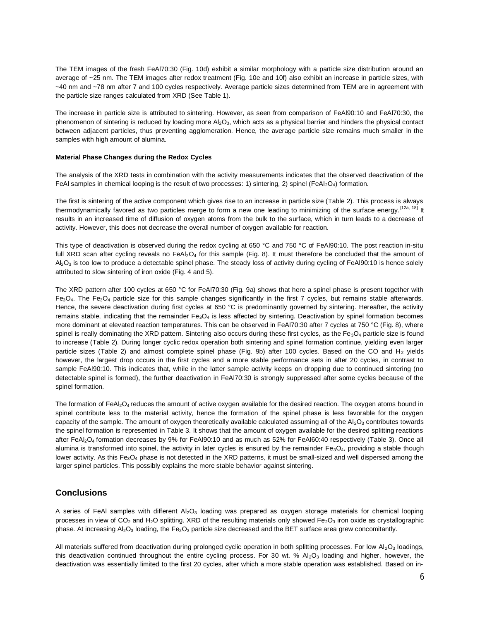The TEM images of the fresh FeAl70:30 (Fig. 10d) exhibit a similar morphology with a particle size distribution around an average of ~25 nm. The TEM images after redox treatment (Fig. 10e and 10f) also exhibit an increase in particle sizes, with ~40 nm and ~78 nm after 7 and 100 cycles respectively. Average particle sizes determined from TEM are in agreement with the particle size ranges calculated from XRD (See Table 1).

The increase in particle size is attributed to sintering. However, as seen from comparison of FeAl90:10 and FeAl70:30, the phenomenon of sintering is reduced by loading more  $A_2O_3$ , which acts as a physical barrier and hinders the physical contact between adjacent particles, thus preventing agglomeration. Hence, the average particle size remains much smaller in the samples with high amount of alumina.

#### **Material Phase Changes during the Redox Cycles**

The analysis of the XRD tests in combination with the activity measurements indicates that the observed deactivation of the FeAI samples in chemical looping is the result of two processes: 1) sintering, 2) spinel (FeAl<sub>2</sub>O<sub>4</sub>) formation.

The first is sintering of the active component which gives rise to an increase in particle size (Table 2). This process is always thermodynamically favored as two particles merge to form a new one leading to minimizing of the surface energy.<sup>[[12a,](#page-7-11) [18\]](#page-7-17)</sup> It results in an increased time of diffusion of oxygen atoms from the bulk to the surface, which in turn leads to a decrease of activity. However, this does not decrease the overall number of oxygen available for reaction.

This type of deactivation is observed during the redox cycling at 650 °C and 750 °C of FeAl90:10. The post reaction in-situ full XRD scan after cycling reveals no  $FeAl<sub>2</sub>O<sub>4</sub>$  for this sample (Fig. 8). It must therefore be concluded that the amount of Al<sub>2</sub>O<sub>3</sub> is too low to produce a detectable spinel phase. The steady loss of activity during cycling of FeAl90:10 is hence solely attributed to slow sintering of iron oxide (Fig. 4 and 5).

The XRD pattern after 100 cycles at 650 °C for FeAl70:30 (Fig. 9a) shows that here a spinel phase is present together with  $Fe<sub>3</sub>O<sub>4</sub>$ . The Fe<sub>3</sub>O<sub>4</sub> particle size for this sample changes significantly in the first 7 cycles, but remains stable afterwards. Hence, the severe deactivation during first cycles at 650 °C is predominantly governed by sintering. Hereafter, the activity remains stable, indicating that the remainder  $Fe<sub>3</sub>O<sub>4</sub>$  is less affected by sintering. Deactivation by spinel formation becomes more dominant at elevated reaction temperatures. This can be observed in FeAl70:30 after 7 cycles at 750 °C (Fig. 8), where spinel is really dominating the XRD pattern. Sintering also occurs during these first cycles, as the  $Fe<sub>3</sub>O<sub>4</sub>$  particle size is found to increase (Table 2). During longer cyclic redox operation both sintering and spinel formation continue, yielding even larger particle sizes (Table 2) and almost complete spinel phase (Fig. 9b) after 100 cycles. Based on the CO and H<sub>2</sub> yields however, the largest drop occurs in the first cycles and a more stable performance sets in after 20 cycles, in contrast to sample FeAl90:10. This indicates that, while in the latter sample activity keeps on dropping due to continued sintering (no detectable spinel is formed), the further deactivation in FeAl70:30 is strongly suppressed after some cycles because of the spinel formation.

The formation of  $FeAl<sub>2</sub>O<sub>4</sub>$  reduces the amount of active oxygen available for the desired reaction. The oxygen atoms bound in spinel contribute less to the material activity, hence the formation of the spinel phase is less favorable for the oxygen capacity of the sample. The amount of oxygen theoretically available calculated assuming all of the  $Al_2O_3$  contributes towards the spinel formation is represented in Table 3. It shows that the amount of oxygen available for the desired splitting reactions after FeAl2O<sup>4</sup> formation decreases by 9% for FeAl90:10 and as much as 52% for FeAl60:40 respectively (Table 3). Once all alumina is transformed into spinel, the activity in later cycles is ensured by the remainder  $Fe<sub>3</sub>O<sub>4</sub>$ , providing a stable though lower activity. As this  $Fe<sub>3</sub>O<sub>4</sub>$  phase is not detected in the XRD patterns, it must be small-sized and well dispersed among the larger spinel particles. This possibly explains the more stable behavior against sintering.

# **Conclusions**

A series of FeAI samples with different  $Al_2O_3$  loading was prepared as oxygen storage materials for chemical looping processes in view of  $CO_2$  and H<sub>2</sub>O splitting. XRD of the resulting materials only showed Fe<sub>2</sub>O<sub>3</sub> iron oxide as crystallographic phase. At increasing  $A I_2 O_3$  loading, the Fe<sub>2</sub>O<sub>3</sub> particle size decreased and the BET surface area grew concomitantly.

All materials suffered from deactivation during prolonged cyclic operation in both splitting processes. For low  $Al_2O_3$  loadings, this deactivation continued throughout the entire cycling process. For 30 wt. %  $Al_2O_3$  loading and higher, however, the deactivation was essentially limited to the first 20 cycles, after which a more stable operation was established. Based on in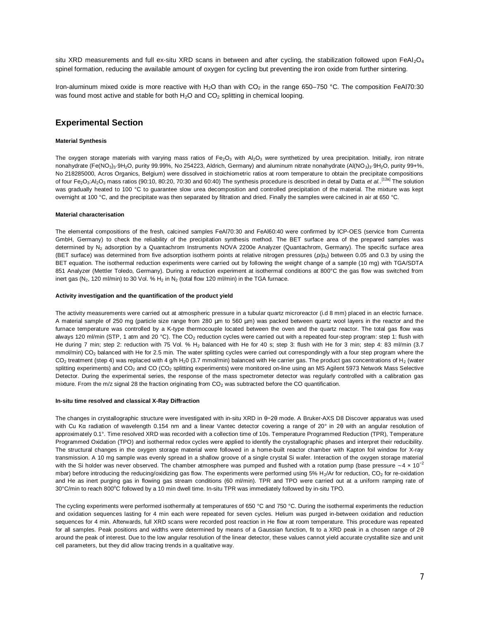situ XRD measurements and full ex-situ XRD scans in between and after cycling, the stabilization followed upon  $FeAl<sub>2</sub>O<sub>4</sub>$ spinel formation, reducing the available amount of oxygen for cycling but preventing the iron oxide from further sintering.

Iron-aluminum mixed oxide is more reactive with H<sub>2</sub>O than with CO<sub>2</sub> in the range 650–750 °C. The composition FeAl70:30 was found most active and stable for both  $H_2O$  and  $CO_2$  splitting in chemical looping.

# **Experimental Section**

#### **Material Synthesis**

The oxygen storage materials with varying mass ratios of Fe<sub>2</sub>O<sub>3</sub> with Al<sub>2</sub>O<sub>3</sub> were synthetized by urea precipitation. Initially, iron nitrate nonahydrate (Fe(NO<sub>3</sub>)<sub>3</sub>·9H<sub>2</sub>O, purity 99.99%, No 254223, Aldrich, Germany) and aluminum nitrate nonahydrate (Al(NO<sub>3</sub>)<sub>3</sub>·9H<sub>2</sub>O, purity 99+%, No 218285000, Acros Organics, Belgium) were dissolved in stoichiometric ratios at room temperature to obtain the precipitate compositions of four Fe<sub>2</sub>O<sub>3</sub>:Al<sub>2</sub>O<sub>3</sub> mass ratios (90:10, 80:20, 70:30 and 60:40) The synthesis procedure is described in detail by Datta *et al*..<sup>[[12a\]](#page-7-11)</sup> The solution was gradually heated to 100 °C to guarantee slow urea decomposition and controlled precipitation of the material. The mixture was kept overnight at 100 °C, and the precipitate was then separated by filtration and dried. Finally the samples were calcined in air at 650 °C.

#### **Material characterisation**

The elemental compositions of the fresh, calcined samples FeAl70:30 and FeAl60:40 were confirmed by ICP-OES (service from Currenta GmbH, Germany) to check the reliability of the precipitation synthesis method. The BET surface area of the prepared samples was determined by N<sub>2</sub> adsorption by a Quantachrom Instruments NOVA 2200e Analyzer (Quantachrom, Germany). The specific surface area (BET surface) was determined from five adsorption isotherm points at relative nitrogen pressures  $(p/p_0)$  between 0.05 and 0.3 by using the BET equation. The isothermal reduction experiments were carried out by following the weight change of a sample (10 mg) with TGA/SDTA 851 Analyzer (Mettler Toledo, Germany). During a reduction experiment at isothermal conditions at 800°C the gas flow was switched from inert gas ( $N_2$ , 120 ml/min) to 30 Vol. %  $H_2$  in  $N_2$  (total flow 120 ml/min) in the TGA furnace.

#### **Activity investigation and the quantification of the product yield**

The activity measurements were carried out at atmospheric pressure in a tubular quartz microreactor (i.d 8 mm) placed in an electric furnace. A material sample of 250 mg (particle size range from 280 mm to 560 mm) was packed between quartz wool layers in the reactor and the furnace temperature was controlled by a K-type thermocouple located between the oven and the quartz reactor. The total gas flow was always 120 ml/min (STP, 1 atm and 20 °C). The CO<sub>2</sub> reduction cycles were carried out with a repeated four-step program: step 1: flush with He during 7 min; step 2: reduction with 75 Vol. % H<sub>2</sub> balanced with He for 40 s; step 3: flush with He for 3 min; step 4: 83 ml/min (3.7 mmol/min) CO<sub>2</sub> balanced with He for 2.5 min. The water splitting cycles were carried out correspondingly with a four step program where the  $CO<sub>2</sub>$  treatment (step 4) was replaced with 4 g/h H<sub>2</sub>0 (3.7 mmol/min) balanced with He carrier gas. The product gas concentrations of H<sub>2</sub> (water splitting experiments) and CO<sub>2</sub> and CO (CO<sub>2</sub> splitting experiments) were monitored on-line using an MS Agilent 5973 Network Mass Selective Detector. During the experimental series, the response of the mass spectrometer detector was regularly controlled with a calibration gas mixture. From the m/z signal 28 the fraction originating from CO<sub>2</sub> was subtracted before the CO quantification.

#### **In-situ time resolved and classical X-Ray Diffraction**

The changes in crystallographic structure were investigated with in-situ XRD in θ−2θ mode. A Bruker-AXS D8 Discover apparatus was used with Cu Kα radiation of wavelength 0.154 nm and a linear Vantec detector covering a range of 20° in 2θ with an angular resolution of approximately 0.1°. Time resolved XRD was recorded with a collection time of 10s. Temperature Programmed Reduction (TPR), Temperature Programmed Oxidation (TPO) and isothermal redox cycles were applied to identify the crystallographic phases and interpret their reducibility. The structural changes in the oxygen storage material were followed in a home-built reactor chamber with Kapton foil window for X-ray transmission. A 10 mg sample was evenly spread in a shallow groove of a single crystal Si wafer. Interaction of the oxygen storage material with the Si holder was never observed. The chamber atmosphere was pumped and flushed with a rotation pump (base pressure ~4 x 10<sup>-2</sup> mbar) before introducing the reducing/oxidizing gas flow. The experiments were performed using 5% H<sub>2</sub>/Ar for reduction, CO<sub>2</sub> for re-oxidation and He as inert purging gas in flowing gas stream conditions (60 ml/min). TPR and TPO were carried out at a uniform ramping rate of 30°C/min to reach 800°C followed by a 10 min dwell time. In-situ TPR was immediately followed by in-situ TPO.

The cycling experiments were performed isothermally at temperatures of 650 °C and 750 °C. During the isothermal experiments the reduction and oxidation sequences lasting for 4 min each were repeated for seven cycles. Helium was purged in-between oxidation and reduction sequences for 4 min. Afterwards, full XRD scans were recorded post reaction in He flow at room temperature. This procedure was repeated for all samples. Peak positions and widths were determined by means of a Gaussian function, fit to a XRD peak in a chosen range of 2θ around the peak of interest. Due to the low angular resolution of the linear detector, these values cannot yield accurate crystallite size and unit cell parameters, but they did allow tracing trends in a qualitative way.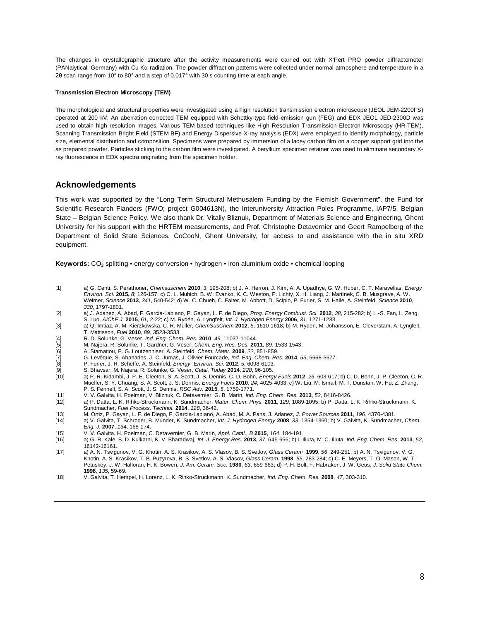The changes in crystallographic structure after the activity measurements were carried out with X'Pert PRO powder diffractometer (PANalytical, Germany) with Cu Kα radiation. The powder diffraction patterns were collected under normal atmosphere and temperature in a 2θ scan range from 10° to 80° and a step of 0.017° with 30 s counting time at each angle.

#### **Transmission Electron Microscopy (TEM)**

The morphological and structural properties were investigated using a high resolution transmission electron microscope (JEOL JEM-2200FS) operated at 200 kV. An aberration corrected TEM equipped with Schottky-type field-emission gun (FEG) and EDX JEOL JED-2300D was used to obtain high resolution images. Various TEM based techniques like High Resolution Transmission Electron Microscopy (HR-TEM), Scanning Transmission Bright Field (STEM BF) and Energy Dispersive X-ray analysis (EDX) were employed to identify morphology, particle size, elemental distribution and composition. Specimens were prepared by immersion of a lacey carbon film on a copper support grid into the as prepared powder. Particles sticking to the carbon film were investigated. A beryllium specimen retainer was used to eliminate secondary Xray fluorescence in EDX spectra originating from the specimen holder.

# **Acknowledgements**

This work was supported by the "Long Term Structural Methusalem Funding by the Flemish Government", the Fund for Scientific Research Flanders (FWO; project G004613N), the Interuniversity Attraction Poles Programme, IAP7/5, Belgian State – Belgian Science Policy. We also thank Dr. Vitaliy Bliznuk, Department of Materials Science and Engineering, Ghent University for his support with the HRTEM measurements, and Prof. Christophe Detavernier and Geert Rampelberg of the Department of Solid State Sciences, CoCooN, Ghent University, for access to and assistance with the in situ XRD equipment.

**Keywords:** CO2 splitting • energy conversion • hydrogen • iron aluminium oxide • chemical looping

- <span id="page-7-0"></span>[1] a) G. Centi, S. Perathoner, *Chemsuschem* **2010**, *3*, 195-208; b) J. A. Herron, J. Kim, A. A. Upadhye, G. W. Huber, C. T. Maravelias, *Energy Environ. Sci.* **2015,** *8*; 126-157; c) C. L. Muhich, B. W. Evanko, K. C. Weston, P. Lichty, X. H. Liang, J. Martinek, C. B. Musgrave, A. W. Weimer, *Science* **2013**, *341*, 540-542; d) W. C. Chueh, C. Falter, M. Abbott, D. Scipio, P. Furler, S. M. Haile, A. Steinfeld, *Science* **2010**, *330*, 1797-1801.
- <span id="page-7-1"></span>[2] a) J. Adanez, A. Abad, F. Garcia-Labiano, P. Gayan, L. F. de Diego, *Prog. Energy Combust. Sci.* **2012**, *38*, 215-282; b) L.-S. Fan, L. Zeng, S. Luo, *AIChE J.* **2015**, 61, 2-22; c) M. Rydén, A. Lyngfelt, *Int. J. Hydrogen Energy* **2006**, 31, 1271-1283.<br>(3) a) Q. Imtiaz, A. M. Kierzkowska, C. R. Müller, *ChemSusChem* **2012**, 5, 1610-1618; b) M. Ryden, M. Johanss
- <span id="page-7-2"></span>T. Mattisson, *Fuel* **2010**, *89*, 3523-3533.
- <span id="page-7-3"></span>[4] R. D. Solunke, G. Veser, *Ind. Eng. Chem. Res.* **2010**, *49*, 11037-11044.
- <span id="page-7-4"></span>[5] M. Najera, R. Solunke, T. Gardner, G. Veser, *Chem. Eng. Res. Des.* **2011**, *89*, 1533-1543.
- <span id="page-7-5"></span>[6] A. Stamatiou, P. G. Loutzenhiser, A. Steinfeld, *Chem. Mater.* **2009**, *22*, 851-859.
- <span id="page-7-6"></span>[7] G. Levêque, S. Abanades, J.-C. Jumas, J. Olivier-Fourcade, *Ind. Eng. Chem. Res.* **2014**, *53*, 5668-5677.
- <span id="page-7-7"></span>[8] P. Furler, J. R. Scheffe, A. Steinfeld, *Energy Environ. Sci.* **2012**, *5*, 6098-6103.
- <span id="page-7-8"></span>[9] S. Bhavsar, M. Najera, R. Solunke, G. Veser, *Catal. Today* **2014**, *228*, 96-105.
- <span id="page-7-9"></span>[10] a) P. R. Kidambi, J. P. E. Cleeton, S. A. Scott, J. S. Dennis, C. D. Bohn, *Energy Fuels* **2012**, *26*, 603-617; b) C. D. Bohn, J. P. Cleeton, C. R. Mueller, S. Y. Chuang, S. A. Scott, J. S. Dennis, *Energy Fuels* **2010**, *24*, 4025-4033; c) W. Liu, M. Ismail, M. T. Dunstan, W. Hu, Z. Zhang, P. S. Fennell, S. A. Scott, J. S. Dennis, *RSC Adv.* **2015**, *5*, 1759-1771.
- <span id="page-7-10"></span>[11] V. V. Galvita, H. Poelman, V. Bliznuk, C. Detavernier, G. B. Marin, *Ind. Eng. Chem. Res.* **2013**, *52*, 8416-8426.
- <span id="page-7-11"></span>[12] a) P. Datta, L. K. Rihko-Struckmann, K. Sundmacher, *Mater. Chem. Phys.* **2011**, *129*, 1089-1095; b) P. Datta, L. K. Rihko-Struckmann, K. Sundmacher, *Fuel Process. Technol.* **2014**, *128*, 36-42.
- 
- <span id="page-7-13"></span><span id="page-7-12"></span>[13] M. Ortiz, P. Gayan, L. F. de Diego, F. Garcia-Labiano, A. Abad, M. A. Pans, J. Adanez, *J. Power Sources* **2011**, *196*, 4370-4381. [14] a) V. Galvita, T. Schroder, B. Munder, K. Sundmacher, *Int. J. Hydrogen Energy* **2008**, *33*, 1354-1360; b) V. Galvita, K. Sundmacher, *Chem. Eng. J.* **2007**, *134*, 168-174.
- <span id="page-7-14"></span>[15] V. V. Galvita, H. Poelman, C. Detavernier, G. B. Marin, *Appl. Catal., B* **2015**, *164*, 184-191.
- <span id="page-7-15"></span>[16] a) G. R. Kale, B. D. Kulkarni, K. V. Bharadwaj, *Int. J. Energy Res.* **2013**, *37*, 645-656; b) I. Iliuta, M. C. Iliuta, *Ind. Eng. Chem. Res.* **2013**, *52*, 16142-16161.
- <span id="page-7-16"></span>[17] a) A. N. Tsvigunov, V. G. Khotin, A. S. Krasikov, A. S. Vlasov, B. S. Svetlov, *Glass Ceram+* **1999**, *56*, 249-251; b) A. N. Tsvigunov, V. G. Khotin, A. S. Krasikov, T. B. Puzyreva, B. S. Svetlov, A. S. Vlasov, *Glass Ceram.* **1998**, *55*, 283-284; c) C. E. Meyers, T. O. Mason, W. T. Petuskey, J. W. Halloran, H. K. Bowen, *J. Am. Ceram. Soc.* **1980**, *63*, 659-663; d) P. H. Bolt, F. Habraken, J. W. Geus, *J. Solid State Chem.* **1998**, *135*, 59-69.
- <span id="page-7-17"></span>[18] V. Galvita, T. Hempel, H. Lorenz, L. K. Rihko-Struckmann, K. Sundmacher, *Ind. Eng. Chem. Res.* **2008**, *47*, 303-310.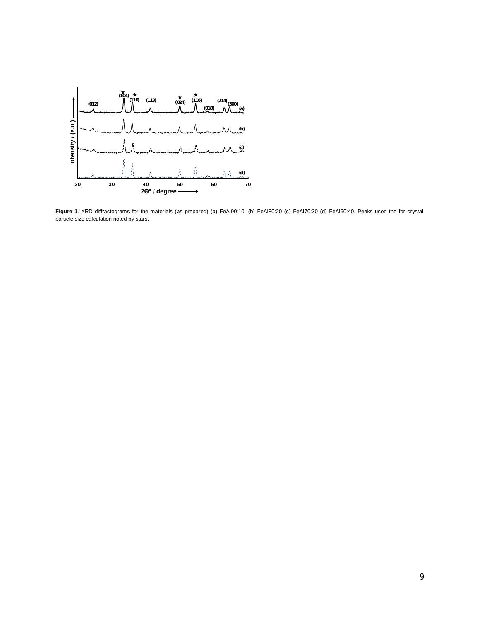

**Figure 1**. XRD diffractograms for the materials (as prepared) (a) FeAl90:10, (b) FeAl80:20 (c) FeAl70:30 (d) FeAl60:40. Peaks used the for crystal particle size calculation noted by stars.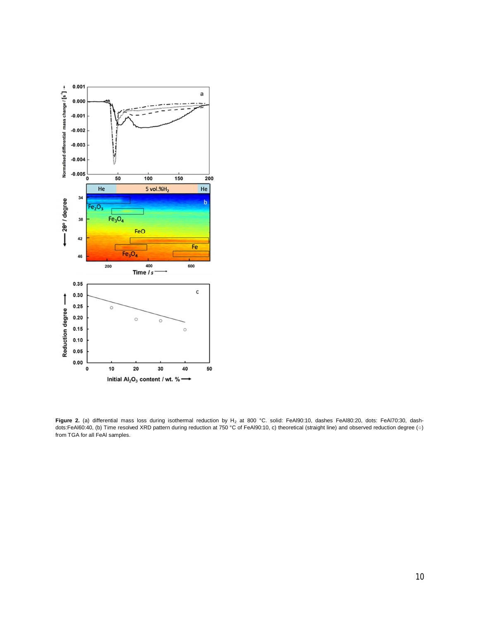

Figure 2. (a) differential mass loss during isothermal reduction by H<sub>2</sub> at 800 °C. solid: FeAl90:10, dashes FeAl80:20, dots: FeAl70:30, dashdots:FeAl60:40, (b) Time resolved XRD pattern during reduction at 750 °C of FeAl90:10, c) theoretical (straight line) and observed reduction degree (○) from TGA for all FeAl samples.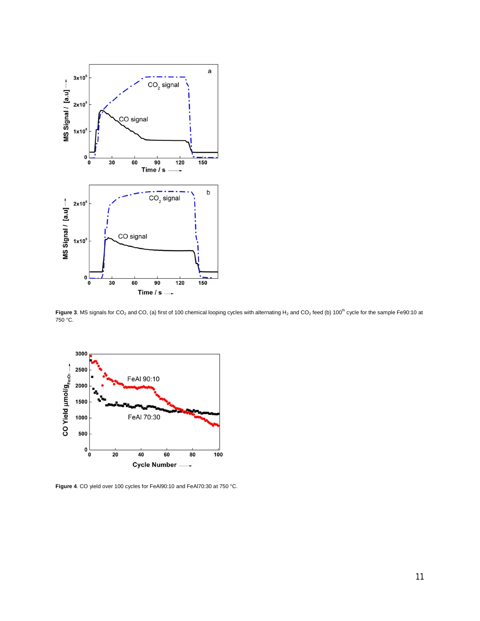

Figure 3. MS signals for CO<sub>2</sub> and CO, (a) first of 100 chemical looping cycles with alternating H<sub>2</sub> and CO<sub>2</sub> feed (b) 100<sup>th</sup> cycle for the sample Fe90:10 at 750 °C.



**Figure 4**. CO yield over 100 cycles for FeAl90:10 and FeAl70:30 at 750 °C.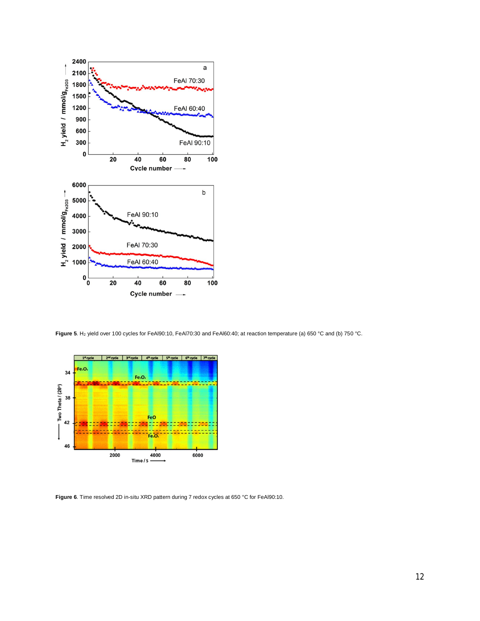

Figure 5. H<sub>2</sub> yield over 100 cycles for FeAl90:10, FeAl70:30 and FeAl60:40; at reaction temperature (a) 650 °C and (b) 750 °C.



**Figure 6**. Time resolved 2D in-situ XRD pattern during 7 redox cycles at 650 °C for FeAl90:10.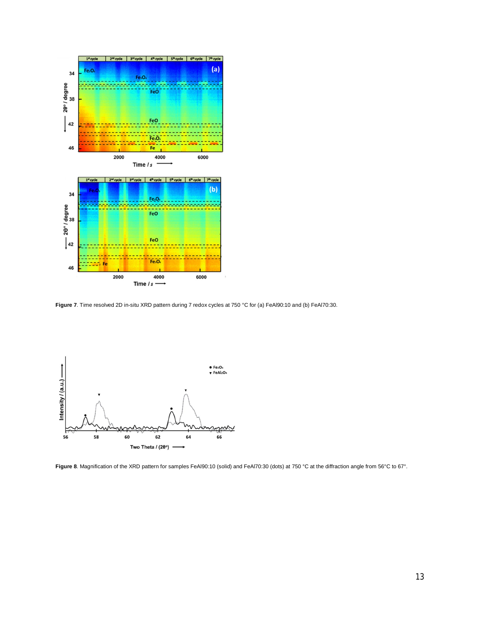

**Figure 7**. Time resolved 2D in-situ XRD pattern during 7 redox cycles at 750 °C for (a) FeAl90:10 and (b) FeAl70:30.



**Figure 8**. Magnification of the XRD pattern for samples FeAl90:10 (solid) and FeAl70:30 (dots) at 750 °C at the diffraction angle from 56°C to 67°.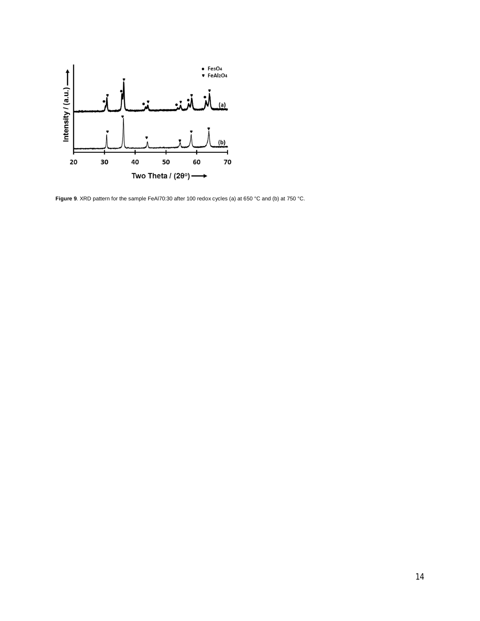

**Figure 9**. XRD pattern for the sample FeAl70:30 after 100 redox cycles (a) at 650 °C and (b) at 750 °C.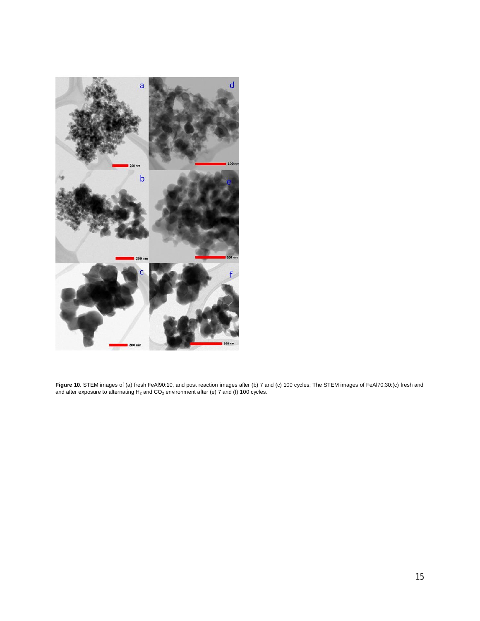

**Figure 10**. STEM images of (a) fresh FeAl90:10, and post reaction images after (b) 7 and (c) 100 cycles; The STEM images of FeAl70:30:(c) fresh and and after exposure to alternating  $H_2$  and  $CO_2$  environment after (e) 7 and (f) 100 cycles.